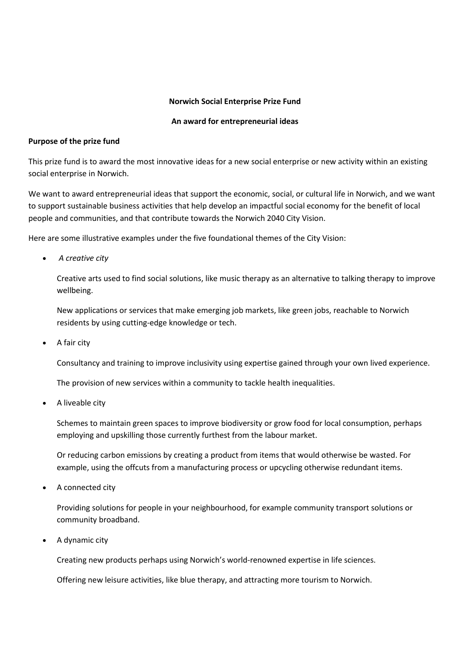#### **Norwich Social Enterprise Prize Fund**

#### **An award for entrepreneurial ideas**

#### **Purpose of the prize fund**

This prize fund is to award the most innovative ideas for a new social enterprise or new activity within an existing social enterprise in Norwich.

We want to award entrepreneurial ideas that support the economic, social, or cultural life in Norwich, and we want to support sustainable business activities that help develop an impactful social economy for the benefit of local people and communities, and that contribute towards the Norwich 2040 City Vision.

Here are some illustrative examples under the five foundational themes of the City Vision:

• *A creative city*

Creative arts used to find social solutions, like music therapy as an alternative to talking therapy to improve wellbeing.

New applications or services that make emerging job markets, like green jobs, reachable to Norwich residents by using cutting-edge knowledge or tech.

• A fair city

Consultancy and training to improve inclusivity using expertise gained through your own lived experience.

The provision of new services within a community to tackle health inequalities.

A liveable city

Schemes to maintain green spaces to improve biodiversity or grow food for local consumption, perhaps employing and upskilling those currently furthest from the labour market.

Or reducing carbon emissions by creating a product from items that would otherwise be wasted. For example, using the offcuts from a manufacturing process or upcycling otherwise redundant items.

A connected city

Providing solutions for people in your neighbourhood, for example community transport solutions or community broadband.

• A dynamic city

Creating new products perhaps using Norwich's world-renowned expertise in life sciences.

Offering new leisure activities, like blue therapy, and attracting more tourism to Norwich.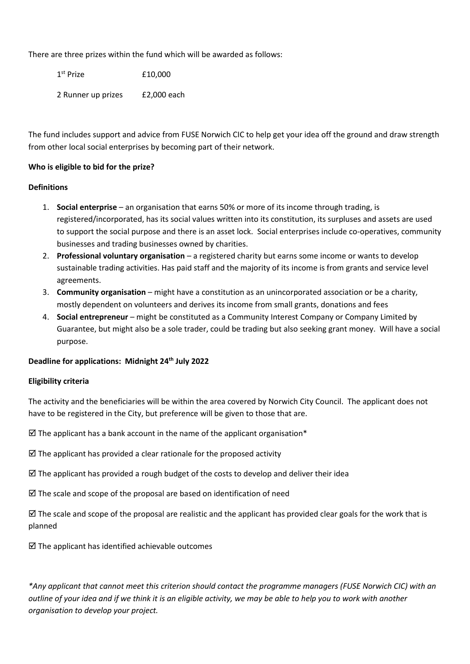There are three prizes within the fund which will be awarded as follows:

1<sup>st</sup> Prize £10,000 2 Runner up prizes £2,000 each

The fund includes support and advice from FUSE Norwich CIC to help get your idea off the ground and draw strength from other local social enterprises by becoming part of their network.

# **Who is eligible to bid for the prize?**

#### **Definitions**

- 1. **Social enterprise** an organisation that earns 50% or more of its income through trading, is registered/incorporated, has its social values written into its constitution, its surpluses and assets are used to support the social purpose and there is an asset lock. Social enterprises include co-operatives, community businesses and trading businesses owned by charities.
- 2. **Professional voluntary organisation** a registered charity but earns some income or wants to develop sustainable trading activities. Has paid staff and the majority of its income is from grants and service level agreements.
- 3. **Community organisation** might have a constitution as an unincorporated association or be a charity, mostly dependent on volunteers and derives its income from small grants, donations and fees
- 4. **Social entrepreneur** might be constituted as a Community Interest Company or Company Limited by Guarantee, but might also be a sole trader, could be trading but also seeking grant money. Will have a social purpose.

# **Deadline for applications: Midnight 24th July 2022**

# **Eligibility criteria**

The activity and the beneficiaries will be within the area covered by Norwich City Council. The applicant does not have to be registered in the City, but preference will be given to those that are.

 $\boxtimes$  The applicant has a bank account in the name of the applicant organisation\*

- $\boxtimes$  The applicant has provided a clear rationale for the proposed activity
- $\boxtimes$  The applicant has provided a rough budget of the costs to develop and deliver their idea
- $\boxtimes$  The scale and scope of the proposal are based on identification of need

 $\boxtimes$  The scale and scope of the proposal are realistic and the applicant has provided clear goals for the work that is planned

 $\boxtimes$  The applicant has identified achievable outcomes

*\*Any applicant that cannot meet this criterion should contact the programme managers (FUSE Norwich CIC) with an outline of your idea and if we think it is an eligible activity, we may be able to help you to work with another organisation to develop your project.*